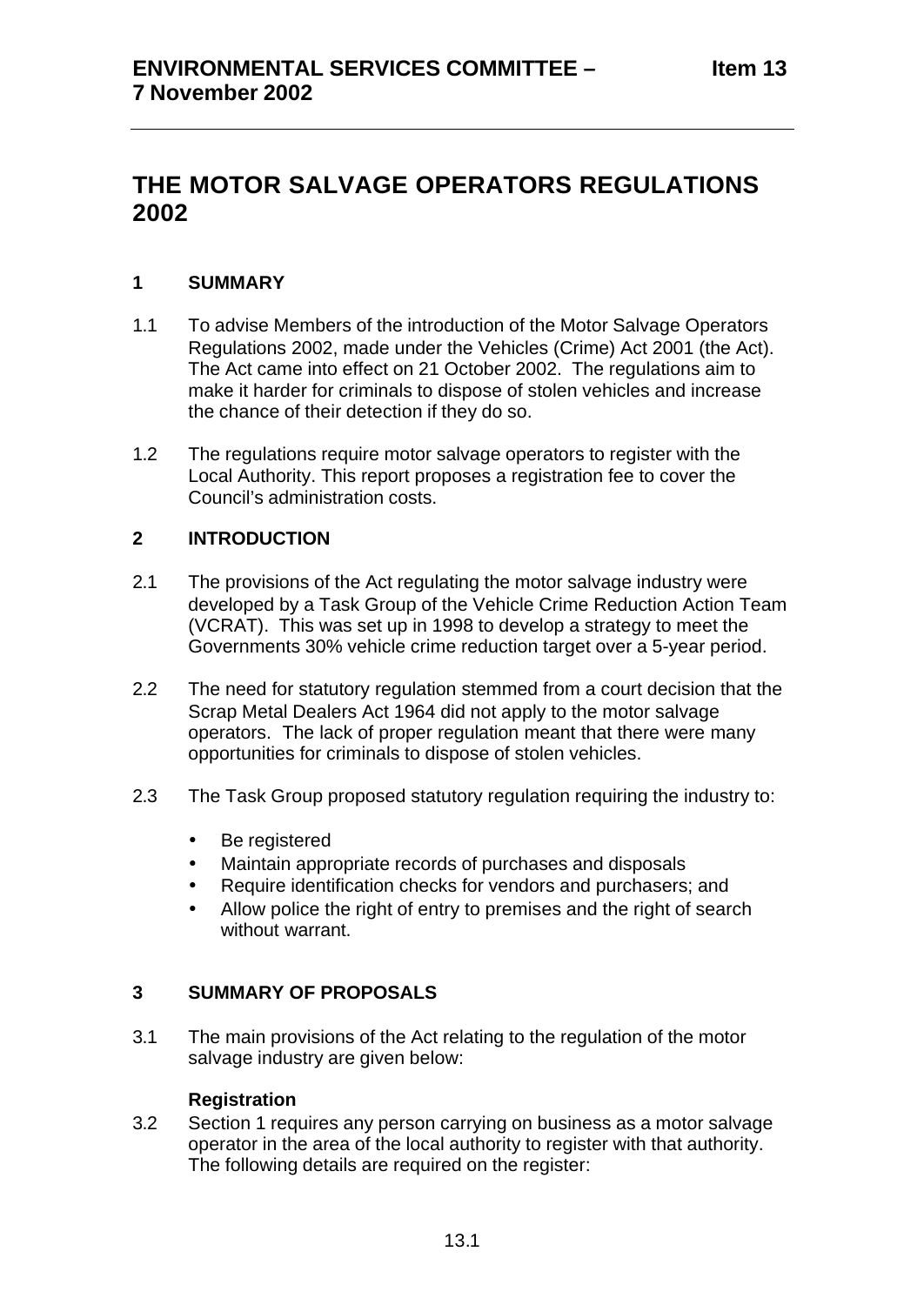# **THE MOTOR SALVAGE OPERATORS REGULATIONS 2002**

## **1 SUMMARY**

- 1.1 To advise Members of the introduction of the Motor Salvage Operators Regulations 2002, made under the Vehicles (Crime) Act 2001 (the Act). The Act came into effect on 21 October 2002. The regulations aim to make it harder for criminals to dispose of stolen vehicles and increase the chance of their detection if they do so.
- 1.2 The regulations require motor salvage operators to register with the Local Authority. This report proposes a registration fee to cover the Council's administration costs.

## **2 INTRODUCTION**

- 2.1 The provisions of the Act regulating the motor salvage industry were developed by a Task Group of the Vehicle Crime Reduction Action Team (VCRAT). This was set up in 1998 to develop a strategy to meet the Governments 30% vehicle crime reduction target over a 5-year period.
- 2.2 The need for statutory regulation stemmed from a court decision that the Scrap Metal Dealers Act 1964 did not apply to the motor salvage operators. The lack of proper regulation meant that there were many opportunities for criminals to dispose of stolen vehicles.
- 2.3 The Task Group proposed statutory regulation requiring the industry to:
	- Be registered
	- Maintain appropriate records of purchases and disposals
	- Require identification checks for vendors and purchasers; and
	- Allow police the right of entry to premises and the right of search without warrant.

## **3 SUMMARY OF PROPOSALS**

3.1 The main provisions of the Act relating to the regulation of the motor salvage industry are given below:

## **Registration**

3.2 Section 1 requires any person carrying on business as a motor salvage operator in the area of the local authority to register with that authority. The following details are required on the register: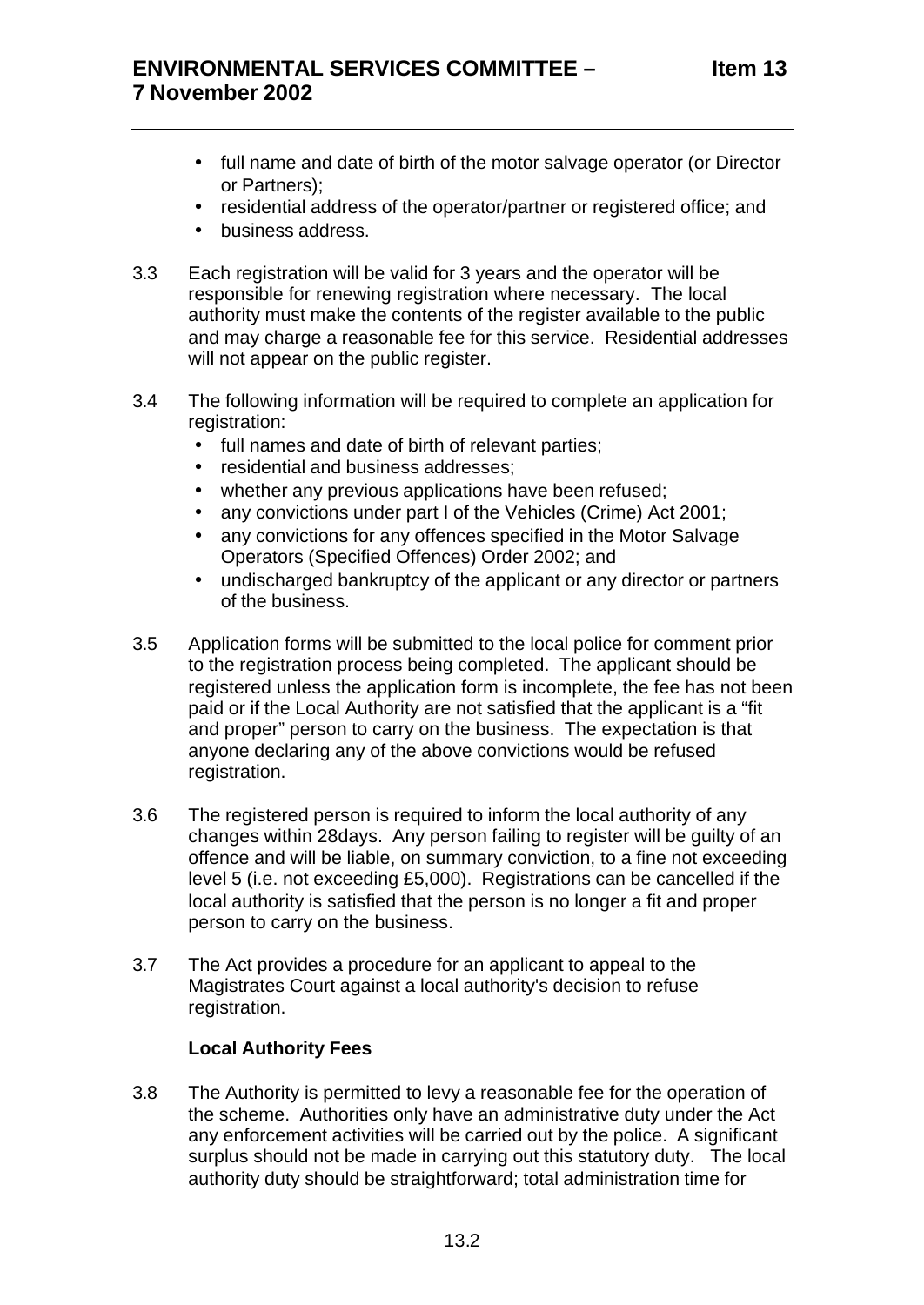- full name and date of birth of the motor salvage operator (or Director or Partners);
- residential address of the operator/partner or registered office; and
- business address.
- 3.3 Each registration will be valid for 3 years and the operator will be responsible for renewing registration where necessary. The local authority must make the contents of the register available to the public and may charge a reasonable fee for this service. Residential addresses will not appear on the public register.
- 3.4 The following information will be required to complete an application for registration:
	- full names and date of birth of relevant parties;
	- residential and business addresses;
	- whether any previous applications have been refused;
	- any convictions under part I of the Vehicles (Crime) Act 2001;
	- any convictions for any offences specified in the Motor Salvage Operators (Specified Offences) Order 2002; and
	- undischarged bankruptcy of the applicant or any director or partners of the business.
- 3.5 Application forms will be submitted to the local police for comment prior to the registration process being completed. The applicant should be registered unless the application form is incomplete, the fee has not been paid or if the Local Authority are not satisfied that the applicant is a "fit and proper" person to carry on the business. The expectation is that anyone declaring any of the above convictions would be refused registration.
- 3.6 The registered person is required to inform the local authority of any changes within 28days. Any person failing to register will be guilty of an offence and will be liable, on summary conviction, to a fine not exceeding level 5 (i.e. not exceeding £5,000). Registrations can be cancelled if the local authority is satisfied that the person is no longer a fit and proper person to carry on the business.
- 3.7 The Act provides a procedure for an applicant to appeal to the Magistrates Court against a local authority's decision to refuse registration.

#### **Local Authority Fees**

3.8 The Authority is permitted to levy a reasonable fee for the operation of the scheme. Authorities only have an administrative duty under the Act any enforcement activities will be carried out by the police. A significant surplus should not be made in carrying out this statutory duty. The local authority duty should be straightforward; total administration time for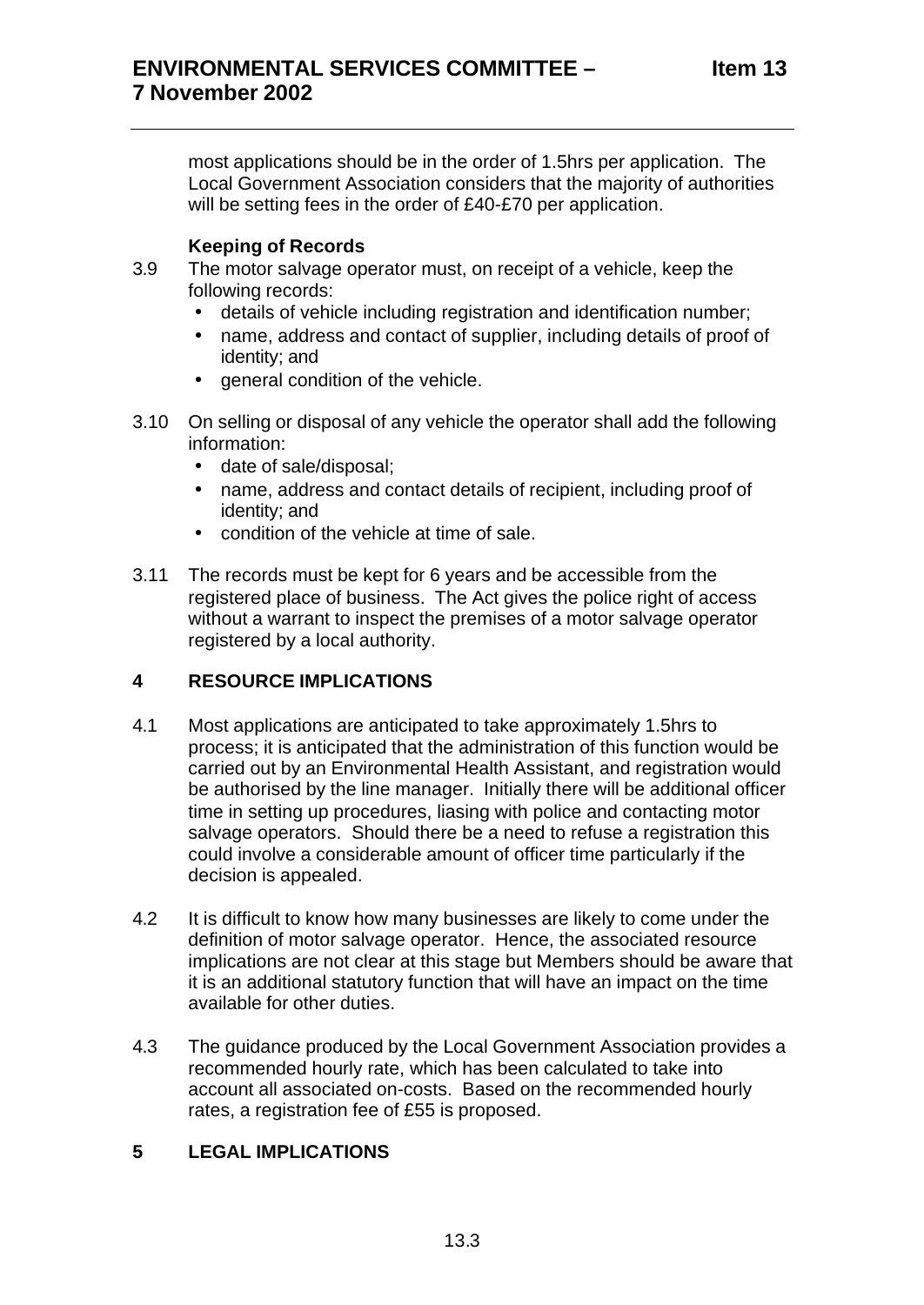most applications should be in the order of 1.5hrs per application. The Local Government Association considers that the majority of authorities will be setting fees in the order of £40-£70 per application.

#### **Keeping of Records**

- 3.9 The motor salvage operator must, on receipt of a vehicle, keep the following records:
	- details of vehicle including registration and identification number;
	- name, address and contact of supplier, including details of proof of identity; and
	- general condition of the vehicle.
- 3.10 On selling or disposal of any vehicle the operator shall add the following information:
	- date of sale/disposal;
	- name, address and contact details of recipient, including proof of identity; and
	- condition of the vehicle at time of sale.
- 3.11 The records must be kept for 6 years and be accessible from the registered place of business. The Act gives the police right of access without a warrant to inspect the premises of a motor salvage operator registered by a local authority.

#### **4 RESOURCE IMPLICATIONS**

- 4.1 Most applications are anticipated to take approximately 1.5hrs to process; it is anticipated that the administration of this function would be carried out by an Environmental Health Assistant, and registration would be authorised by the line manager. Initially there will be additional officer time in setting up procedures, liasing with police and contacting motor salvage operators. Should there be a need to refuse a registration this could involve a considerable amount of officer time particularly if the decision is appealed.
- 4.2 It is difficult to know how many businesses are likely to come under the definition of motor salvage operator. Hence, the associated resource implications are not clear at this stage but Members should be aware that it is an additional statutory function that will have an impact on the time available for other duties.
- 4.3 The guidance produced by the Local Government Association provides a recommended hourly rate, which has been calculated to take into account all associated on-costs. Based on the recommended hourly rates, a registration fee of £55 is proposed.

## **5 LEGAL IMPLICATIONS**